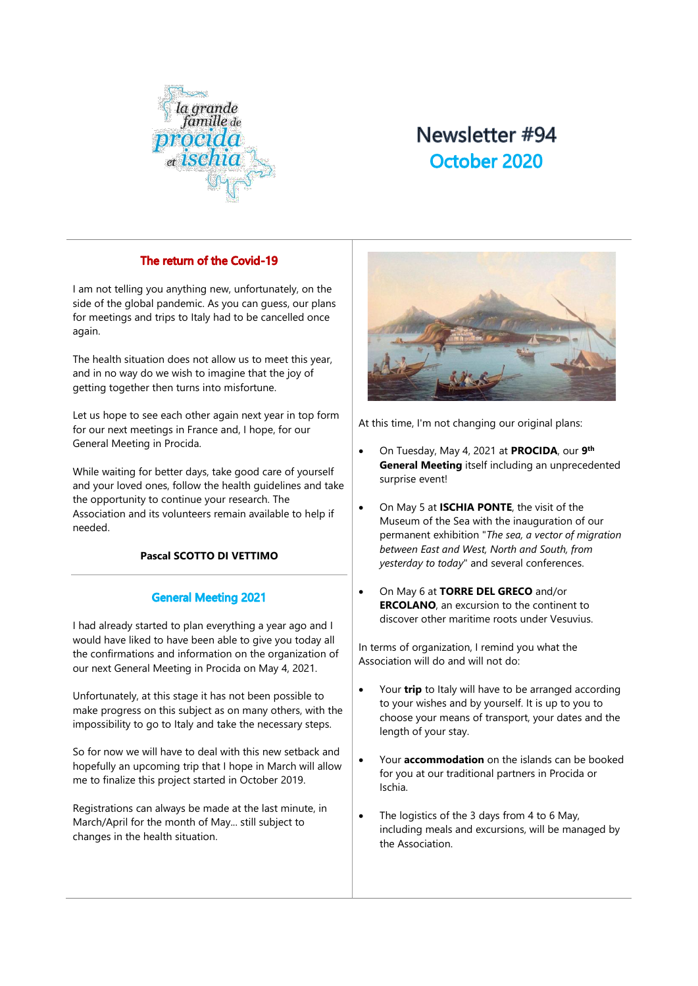

# Newsletter #94 October 2020

# The return of the Covid-19

I am not telling you anything new, unfortunately, on the side of the global pandemic. As you can guess, our plans for meetings and trips to Italy had to be cancelled once again.

The health situation does not allow us to meet this year, and in no way do we wish to imagine that the joy of getting together then turns into misfortune.

Let us hope to see each other again next year in top form for our next meetings in France and, I hope, for our General Meeting in Procida.

While waiting for better days, take good care of yourself and your loved ones, follow the health guidelines and take the opportunity to continue your research. The Association and its volunteers remain available to help if needed.

# **Pascal SCOTTO DI VETTIMO**

## **General Meeting 2021**

I had already started to plan everything a year ago and I would have liked to have been able to give you today all the confirmations and information on the organization of our next General Meeting in Procida on May 4, 2021.

Unfortunately, at this stage it has not been possible to make progress on this subject as on many others, with the impossibility to go to Italy and take the necessary steps.

So for now we will have to deal with this new setback and hopefully an upcoming trip that I hope in March will allow me to finalize this project started in October 2019.

Registrations can always be made at the last minute, in March/April for the month of May... still subject to changes in the health situation.



At this time, I'm not changing our original plans:

- On Tuesday, May 4, 2021 at **PROCIDA**, our **9 th General Meeting** itself including an unprecedented surprise event!
- On May 5 at **ISCHIA PONTE**, the visit of the Museum of the Sea with the inauguration of our permanent exhibition "*The sea, a vector of migration between East and West, North and South, from yesterday to today*" and several conferences.
- On May 6 at **TORRE DEL GRECO** and/or **ERCOLANO**, an excursion to the continent to discover other maritime roots under Vesuvius.

In terms of organization, I remind you what the Association will do and will not do:

- Your **trip** to Italy will have to be arranged according to your wishes and by yourself. It is up to you to choose your means of transport, your dates and the length of your stay.
- Your **accommodation** on the islands can be booked for you at our traditional partners in Procida or Ischia.
- The logistics of the 3 days from 4 to 6 May, including meals and excursions, will be managed by the Association.